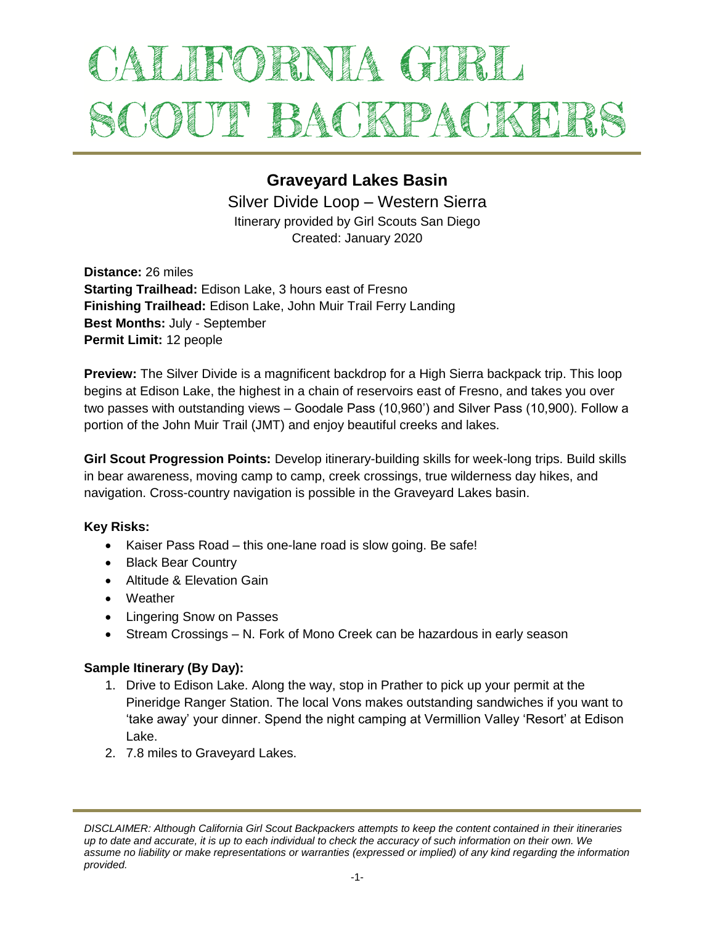# ALIFORNIA GIRL SCOUT BACKPACKEI

# **Graveyard Lakes Basin**

Silver Divide Loop – Western Sierra Itinerary provided by Girl Scouts San Diego Created: January 2020

**Distance:** 26 miles **Starting Trailhead:** Edison Lake, 3 hours east of Fresno **Finishing Trailhead:** Edison Lake, John Muir Trail Ferry Landing **Best Months:** July - September **Permit Limit:** 12 people

**Preview:** The Silver Divide is a magnificent backdrop for a High Sierra backpack trip. This loop begins at Edison Lake, the highest in a chain of reservoirs east of Fresno, and takes you over two passes with outstanding views – Goodale Pass (10,960') and Silver Pass (10,900). Follow a portion of the John Muir Trail (JMT) and enjoy beautiful creeks and lakes.

**Girl Scout Progression Points:** Develop itinerary-building skills for week-long trips. Build skills in bear awareness, moving camp to camp, creek crossings, true wilderness day hikes, and navigation. Cross-country navigation is possible in the Graveyard Lakes basin.

## **Key Risks:**

- Kaiser Pass Road this one-lane road is slow going. Be safe!
- Black Bear Country
- Altitude & Elevation Gain
- Weather
- Lingering Snow on Passes
- Stream Crossings N. Fork of Mono Creek can be hazardous in early season

#### **Sample Itinerary (By Day):**

- 1. Drive to Edison Lake. Along the way, stop in Prather to pick up your permit at the Pineridge Ranger Station. The local Vons makes outstanding sandwiches if you want to 'take away' your dinner. Spend the night camping at Vermillion Valley 'Resort' at Edison Lake.
- 2. 7.8 miles to Graveyard Lakes.

*DISCLAIMER: Although California Girl Scout Backpackers attempts to keep the content contained in their itineraries up to date and accurate, it is up to each individual to check the accuracy of such information on their own. We assume no liability or make representations or warranties (expressed or implied) of any kind regarding the information provided.*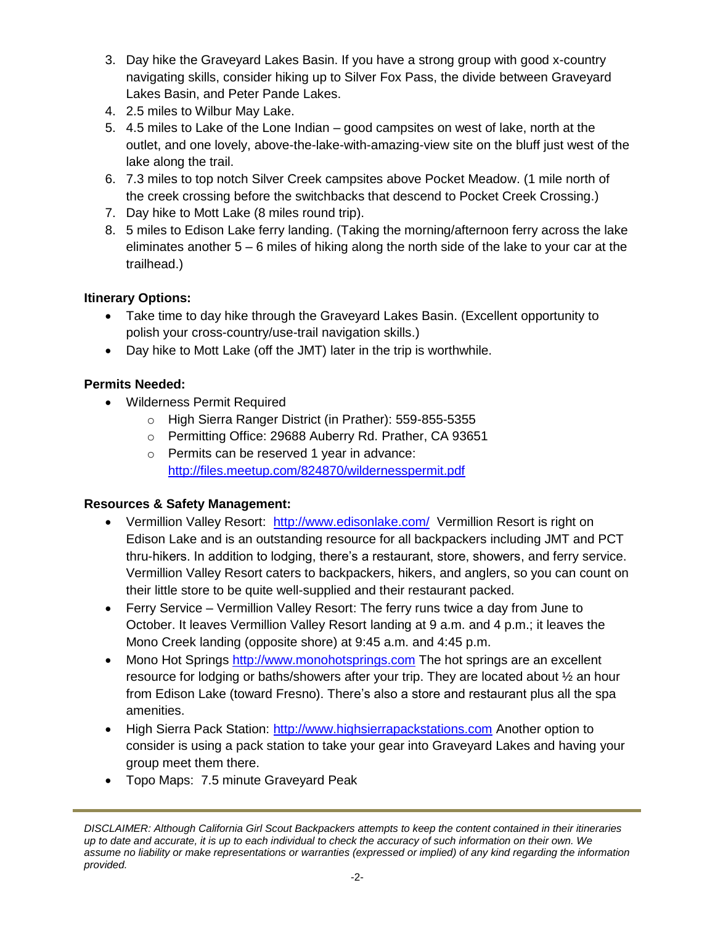- 3. Day hike the Graveyard Lakes Basin. If you have a strong group with good x-country navigating skills, consider hiking up to Silver Fox Pass, the divide between Graveyard Lakes Basin, and Peter Pande Lakes.
- 4. 2.5 miles to Wilbur May Lake.
- 5. 4.5 miles to Lake of the Lone Indian good campsites on west of lake, north at the outlet, and one lovely, above-the-lake-with-amazing-view site on the bluff just west of the lake along the trail.
- 6. 7.3 miles to top notch Silver Creek campsites above Pocket Meadow. (1 mile north of the creek crossing before the switchbacks that descend to Pocket Creek Crossing.)
- 7. Day hike to Mott Lake (8 miles round trip).
- 8. 5 miles to Edison Lake ferry landing. (Taking the morning/afternoon ferry across the lake eliminates another 5 – 6 miles of hiking along the north side of the lake to your car at the trailhead.)

# **Itinerary Options:**

- Take time to day hike through the Graveyard Lakes Basin. (Excellent opportunity to polish your cross-country/use-trail navigation skills.)
- Day hike to Mott Lake (off the JMT) later in the trip is worthwhile.

# **Permits Needed:**

- Wilderness Permit Required
	- o High Sierra Ranger District (in Prather): 559-855-5355
	- o Permitting Office: 29688 Auberry Rd. Prather, CA 93651
	- o Permits can be reserved 1 year in advance: <http://files.meetup.com/824870/wildernesspermit.pdf>

## **Resources & Safety Management:**

- Vermillion Valley Resort: <http://www.edisonlake.com/>Vermillion Resort is right on Edison Lake and is an outstanding resource for all backpackers including JMT and PCT thru-hikers. In addition to lodging, there's a restaurant, store, showers, and ferry service. Vermillion Valley Resort caters to backpackers, hikers, and anglers, so you can count on their little store to be quite well-supplied and their restaurant packed.
- Ferry Service Vermillion Valley Resort: The ferry runs twice a day from June to October. It leaves Vermillion Valley Resort landing at 9 a.m. and 4 p.m.; it leaves the Mono Creek landing (opposite shore) at 9:45 a.m. and 4:45 p.m.
- Mono Hot Springs [http://www.monohotsprings.com](http://www.monohotsprings.com/) The hot springs are an excellent resource for lodging or baths/showers after your trip. They are located about ½ an hour from Edison Lake (toward Fresno). There's also a store and restaurant plus all the spa amenities.
- High Sierra Pack Station: [http://www.highsierrapackstations.com](http://www.highsierrapackstations.com/) Another option to consider is using a pack station to take your gear into Graveyard Lakes and having your group meet them there.
- Topo Maps: 7.5 minute Graveyard Peak

*DISCLAIMER: Although California Girl Scout Backpackers attempts to keep the content contained in their itineraries up to date and accurate, it is up to each individual to check the accuracy of such information on their own. We assume no liability or make representations or warranties (expressed or implied) of any kind regarding the information provided.*